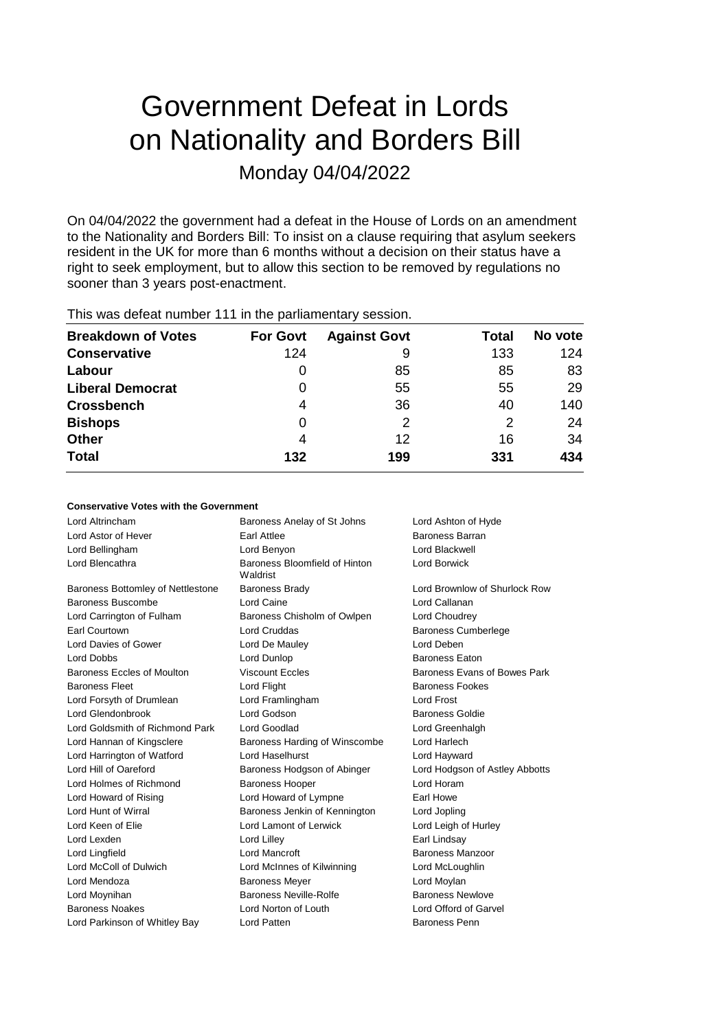# Government Defeat in Lords on Nationality and Borders Bill Monday 04/04/2022

On 04/04/2022 the government had a defeat in the House of Lords on an amendment to the Nationality and Borders Bill: To insist on a clause requiring that asylum seekers resident in the UK for more than 6 months without a decision on their status have a right to seek employment, but to allow this section to be removed by regulations no sooner than 3 years post-enactment.

| <b>Breakdown of Votes</b> | <b>For Govt</b> | <b>Against Govt</b> | Total | No vote |
|---------------------------|-----------------|---------------------|-------|---------|
| <b>Conservative</b>       | 124             | 9                   | 133   | 124     |
| Labour                    | O               | 85                  | 85    | 83      |
| <b>Liberal Democrat</b>   | 0               | 55                  | 55    | 29      |
| <b>Crossbench</b>         | 4               | 36                  | 40    | 140     |
| <b>Bishops</b>            | 0               | 2                   | 2     | 24      |
| <b>Other</b>              | 4               | 12                  | 16    | 34      |
| <b>Total</b>              | 132             | 199                 | 331   | 434     |
|                           |                 |                     |       |         |

This was defeat number 111 in the parliamentary session.

### **Conservative Votes with the Government**

| Lord Altrincham                   | Baroness Anelay of St Johns               | Lord Ashton of Hyde            |
|-----------------------------------|-------------------------------------------|--------------------------------|
| Lord Astor of Hever               | <b>Farl Attlee</b>                        | <b>Baroness Barran</b>         |
| Lord Bellingham                   | Lord Benyon                               | Lord Blackwell                 |
| Lord Blencathra                   | Baroness Bloomfield of Hinton<br>Waldrist | <b>Lord Borwick</b>            |
| Baroness Bottomley of Nettlestone | <b>Baroness Brady</b>                     | Lord Brownlow of Shurlock Row  |
| Baroness Buscombe                 | Lord Caine                                | Lord Callanan                  |
| Lord Carrington of Fulham         | Baroness Chisholm of Owlpen               | Lord Choudrey                  |
| Earl Courtown                     | Lord Cruddas                              | <b>Baroness Cumberlege</b>     |
| Lord Davies of Gower              | Lord De Mauley                            | Lord Deben                     |
| Lord Dobbs                        | Lord Dunlop                               | <b>Baroness Eaton</b>          |
| Baroness Eccles of Moulton        | <b>Viscount Eccles</b>                    | Baroness Evans of Bowes Park   |
| <b>Baroness Fleet</b>             | Lord Flight                               | <b>Baroness Fookes</b>         |
| Lord Forsyth of Drumlean          | Lord Framlingham                          | Lord Frost                     |
| Lord Glendonbrook                 | Lord Godson                               | <b>Baroness Goldie</b>         |
| Lord Goldsmith of Richmond Park   | Lord Goodlad                              | Lord Greenhalgh                |
| Lord Hannan of Kingsclere         | Baroness Harding of Winscombe             | Lord Harlech                   |
| Lord Harrington of Watford        | <b>Lord Haselburst</b>                    | Lord Hayward                   |
| Lord Hill of Oareford             | Baroness Hodgson of Abinger               | Lord Hodgson of Astley Abbotts |
| Lord Holmes of Richmond           | <b>Baroness Hooper</b>                    | Lord Horam                     |
| Lord Howard of Rising             | Lord Howard of Lympne                     | Earl Howe                      |
| Lord Hunt of Wirral               | Baroness Jenkin of Kennington             | Lord Jopling                   |
| Lord Keen of Elie                 | Lord Lamont of Lerwick                    | Lord Leigh of Hurley           |
| Lord Lexden                       | Lord Lilley                               | Earl Lindsay                   |
| Lord Lingfield                    | Lord Mancroft                             | Baroness Manzoor               |
| Lord McColl of Dulwich            | Lord McInnes of Kilwinning                | Lord McLoughlin                |
| Lord Mendoza                      | <b>Baroness Meyer</b>                     | Lord Moylan                    |
| Lord Moynihan                     | Baroness Neville-Rolfe                    | <b>Baroness Newlove</b>        |
| <b>Baroness Noakes</b>            | Lord Norton of Louth                      | Lord Offord of Garvel          |
| Lord Parkinson of Whitley Bay     | <b>Lord Patten</b>                        | Baroness Penn                  |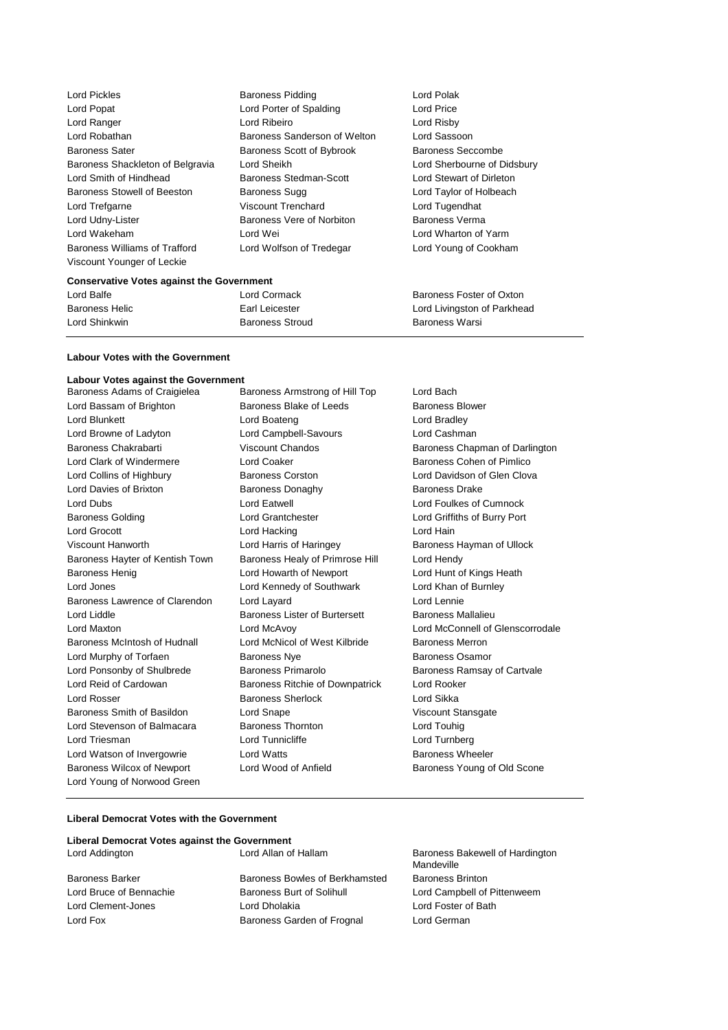| <b>Lord Pickles</b>                  | <b>Baroness Pidding</b>       | Lord Polak        |
|--------------------------------------|-------------------------------|-------------------|
| Lord Popat                           | Lord Porter of Spalding       | Lord Price        |
| Lord Ranger                          | Lord Ribeiro                  | Lord Risby        |
| Lord Robathan                        | Baroness Sanderson of Welton  | Lord Sasso        |
| <b>Baroness Sater</b>                | Baroness Scott of Bybrook     | <b>Baroness S</b> |
| Baroness Shackleton of Belgravia     | Lord Sheikh                   | <b>Lord Sherb</b> |
| Lord Smith of Hindhead               | <b>Baroness Stedman-Scott</b> | Lord Stewa        |
| <b>Baroness Stowell of Beeston</b>   | Baroness Sugg                 | Lord Taylor       |
| Lord Trefgarne                       | <b>Viscount Trenchard</b>     | Lord Tugen        |
| Lord Udny-Lister                     | Baroness Vere of Norbiton     | Baroness \        |
| Lord Wakeham                         | Lord Wei                      | <b>Lord Whart</b> |
| <b>Baroness Williams of Trafford</b> | Lord Wolfson of Tredegar      | Lord Younc        |
| Viscount Younger of Leckie           |                               |                   |
|                                      |                               |                   |

n Baroness Lord Sassoon Baroness Seccombe Lord Sherbourne of Didsbury Lord Stewart of Dirleton Lord Taylor of Holbeach Lord Tugendhat Baroness Verma Lord Wharton of Yarm Lord Young of Cookham

#### **Conservative Votes against the Government**

Lord Balfe **Lord Cormack Baroness Foster of Oxton** Baroness Helic **Earl Leicester** Earl Leicester Lord Livingston of Parkhead Lord Shinkwin **Baroness Stroud** Baroness New Baroness Warsi

#### **Labour Votes with the Government**

**Labour Votes against the Government** Baroness Armstrong of Hill Top Lord Bach Lord Bassam of Brighton **Baroness Blake of Leeds** Baroness Blower Lord Blunkett Lord Boateng Lord Bradley Lord Browne of Ladyton **Lord Campbell-Savours** Lord Cashman Baroness Chakrabarti Viscount Chandos Baroness Chapman of Darlington Lord Clark of Windermere **Lord Coaker Lord Coaker Baroness Cohen of Pimlico** Lord Collins of Highbury **Baroness Corston** Corston Lord Davidson of Glen Clova Lord Davies of Brixton **Baroness Donaghy** Baroness Drake Lord Dubs Lord Eatwell Lord Foulkes of Cumnock Baroness Golding Lord Grantchester Lord Griffiths of Burry Port Lord Grocott **Lord Hacking** Lord Hacking **Lord Hain** Viscount Hanworth **Lord Harris of Haringey** Baroness Hayman of Ullock Baroness Hayter of Kentish Town Baroness Healy of Primrose Hill Lord Hendy Baroness Henig **Lord Howarth of Newport** Lord Hunt of Kings Heath Lord Jones Lord Kennedy of Southwark Lord Khan of Burnley Baroness Lawrence of Clarendon Lord Layard Lord Lennie Lord Liddle **Baroness Lister of Burtersett** Baroness Mallalieu Lord Maxton Lord McAvoy Lord McConnell of Glenscorrodale Baroness McIntosh of Hudnall Lord McNicol of West Kilbride Baroness Merron Lord Murphy of Torfaen **Baroness Nye** Baroness Osamor Lord Ponsonby of Shulbrede Baroness Primarolo Baroness Ramsay of Cartvale Lord Reid of Cardowan Baroness Ritchie of Downpatrick Lord Rooker Lord Rosser Baroness Sherlock Lord Sikka Baroness Smith of Basildon Lord Snape Communication Viscount Stansgate Lord Stevenson of Balmacara Baroness Thornton Lord Touhig Lord Triesman **Lord Turnberg** Lord Turnberg Lord Turnberg Lord Turnberg Lord Watson of Invergowrie **Lord Watts Conducts** Baroness Wheeler Baroness Wilcox of Newport Lord Wood of Anfield Baroness Young of Old Scone Lord Young of Norwood Green

#### **Liberal Democrat Votes with the Government**

#### **Liberal Democrat Votes against the Government**

Baroness Barker **Baroness Bowles of Berkhamsted** Baroness Brinton Lord Bruce of Bennachie **Baroness Burt of Solihull** Lord Campbell of Pittenweem Lord Clement-Jones Lord Dholakia Lord Foster of Bath Lord Fox Baroness Garden of Frognal Lord German

Lord Addington Lord Allan of Hallam Baroness Bakewell of Hardington Mandeville